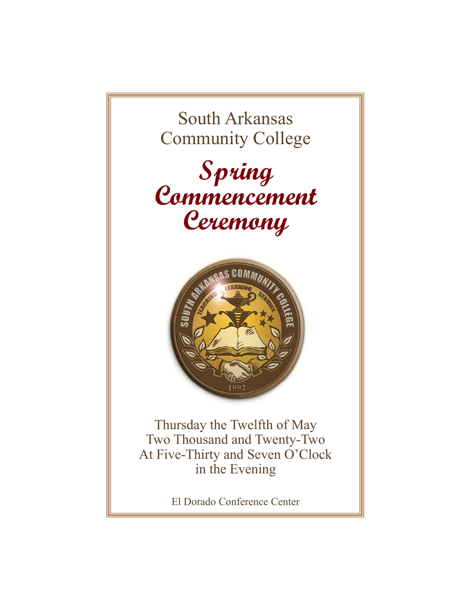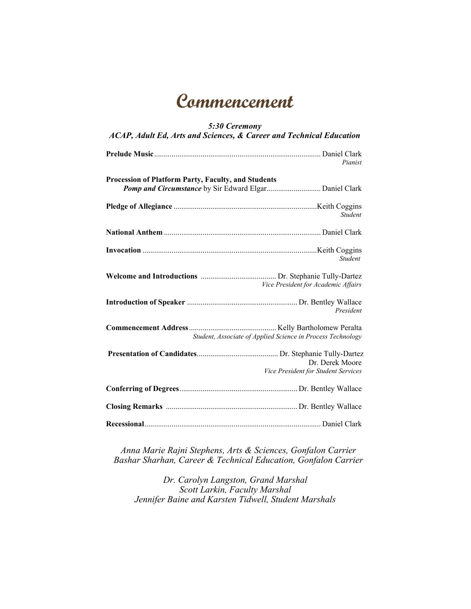# **Commencement**

#### *5:30 Ceremony ACAP, Adult Ed, Arts and Sciences, & Career and Technical Education* **Prelude Music** ...................................................................................... Daniel Clark *Pianist* **Procession of Platform Party, Faculty, and Students Pomp and Circumstance** by Sir Edward Elgar................................ Daniel Clark **Pledge of Allegiance** .......................................................................... Keith Coggins *Student* **National Anthem** ................................................................................. Daniel Clark **Invocation** .......................................................................................... Keith Coggins *Student* **Student Welcome and Introductions** ....................................... Dr. Stephanie Tully-Dartez  *Vice President for Academic Affairs*

**Introduction of Speaker** ......................................................... Dr. Bentley Wallace  *President*  **Commencement Address** ............................................. Kelly Bartholomew Peralta *Student, Associate of Applied Science in Process Technology*  **Presentation of Candidates** .......................................... Dr. Stephanie Tully-Dartez Dr. Derek Moore

**Conferring of Degrees** ............................................................. Dr. Bentley Wallace **Closing Remarks** .................................................................... Dr. Bentley Wallace **Recessional** ........................................................................................... Daniel Clark

*Vice President for Student Services*

*Anna Marie Rajni Stephens, Arts & Sciences, Gonfalon Carrier Bashar Sharhan, Career & Technical Education, Gonfalon Carrier* 

*Dr. Carolyn Langston, Grand Marshal Scott Larkin, Faculty Marshal Jennifer Baine and Karsten Tidwell, Student Marshals*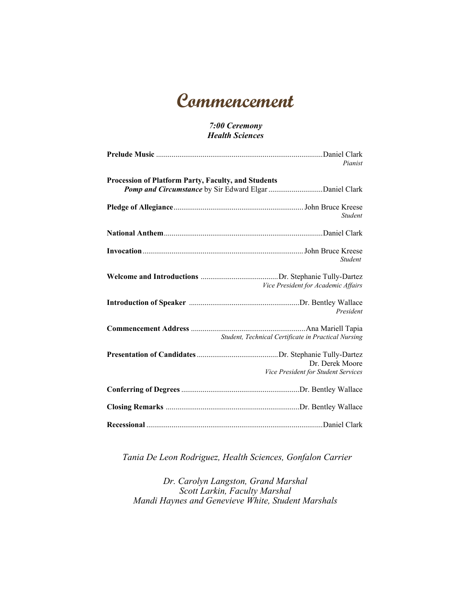# **Commencement**

#### *7:00 Ceremony Health Sciences*

|                                                            | Pianist                                                |
|------------------------------------------------------------|--------------------------------------------------------|
| <b>Procession of Platform Party, Faculty, and Students</b> |                                                        |
|                                                            | <b>Student</b>                                         |
|                                                            |                                                        |
|                                                            | <b>Student</b>                                         |
|                                                            | Vice President for Academic Affairs                    |
|                                                            | President                                              |
|                                                            | Student, Technical Certificate in Practical Nursing    |
|                                                            | Dr. Derek Moore<br>Vice President for Student Services |
|                                                            |                                                        |
|                                                            |                                                        |
|                                                            |                                                        |

*Tania De Leon Rodriguez, Health Sciences, Gonfalon Carrier* 

*Dr. Carolyn Langston, Grand Marshal Scott Larkin, Faculty Marshal Mandi Haynes and Genevieve White, Student Marshals*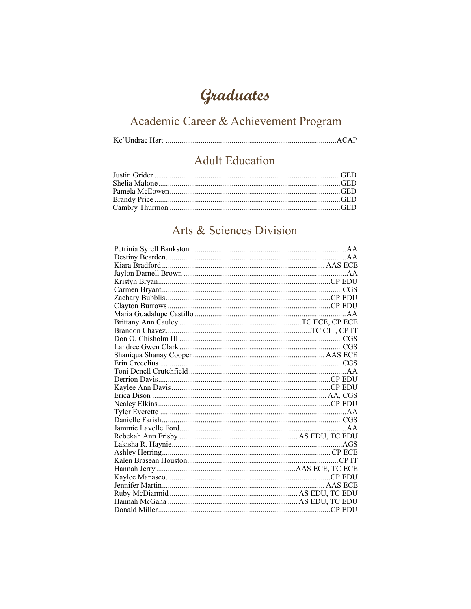# Graduates

# Academic Career & Achievement Program

#### **Adult Education**

#### Arts & Sciences Division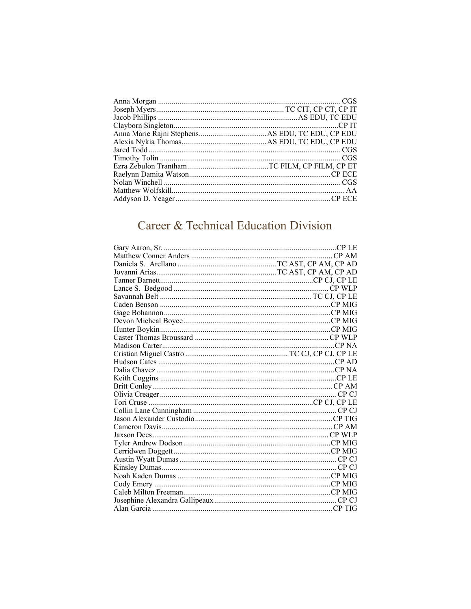### Career & Technical Education Division

| C <sub>P</sub> AM |
|-------------------|
|                   |
|                   |
|                   |
|                   |
|                   |
|                   |
|                   |
|                   |
|                   |
|                   |
|                   |
|                   |
|                   |
|                   |
|                   |
|                   |
|                   |
|                   |
|                   |
|                   |
|                   |
|                   |
|                   |
|                   |
|                   |
|                   |
|                   |
|                   |
|                   |
|                   |
|                   |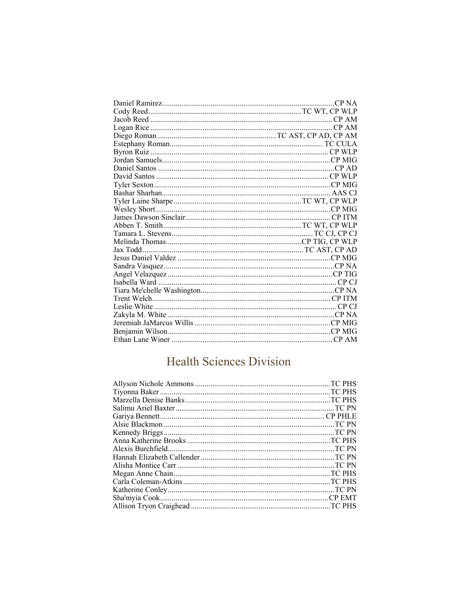### **Health Sciences Division**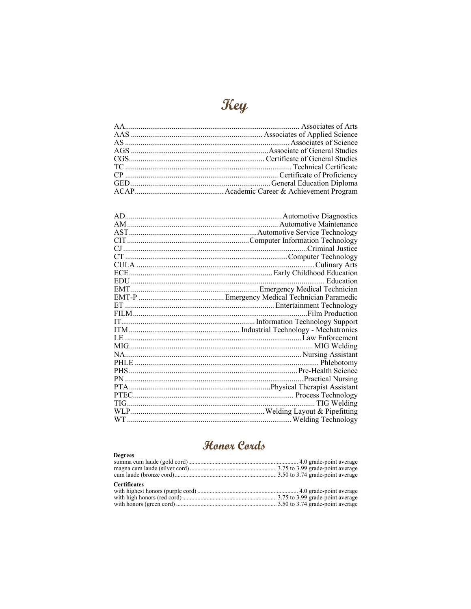| 911<br>N. |
|-----------|
|           |

### Honor Cords

| <b>Degrees</b>      |  |
|---------------------|--|
|                     |  |
|                     |  |
|                     |  |
| <b>Certificates</b> |  |
|                     |  |
|                     |  |
|                     |  |
|                     |  |